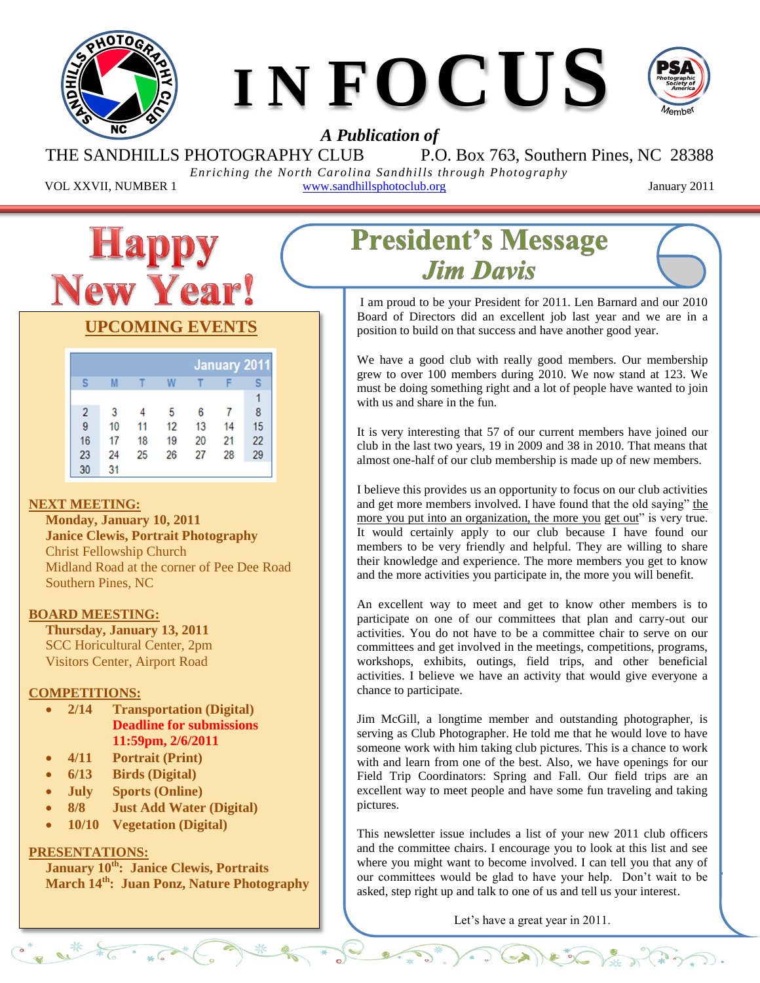



## *A Publication of*

THE SANDHILLS PHOTOGRAPHY CLUB P.O. Box 763, Southern Pines, NC 28388

*Enriching the North Carolina Sandhills through Photography* VOL XXVII, NUMBER 1 www.sandhillsphotoclub.org January 2011



## **UPCOMING EVENTS**

|    |    |    |    |    |    | <b>January 2011</b> |
|----|----|----|----|----|----|---------------------|
| S  | M  |    | W  |    |    | s                   |
|    |    |    |    |    |    |                     |
| 2  | 3  |    | 5  | 6  |    | 8                   |
| 9  | 10 | 11 | 12 | 13 | 14 | 15                  |
| 16 | 17 | 18 | 19 | 20 | 21 | 22                  |
| 23 | 24 | 25 | 26 | 27 | 28 | 29                  |
| 30 | 31 |    |    |    |    |                     |

#### **NEXT MEETING:**

**Monday, January 10, 2011 Janice Clewis, Portrait Photography** Christ Fellowship Church Midland Road at the corner of Pee Dee Road Southern Pines, NC

#### **BOARD MEESTING:**

**Thursday, January 13, 2011** SCC Horicultural Center, 2pm Visitors Center, Airport Road

#### **COMPETITIONS:**

- **2/14 Transportation (Digital) Deadline for submissions 11:59pm, 2/6/2011**
- **4/11 Portrait (Print)**
- **6/13 Birds (Digital)**
- **July Sports (Online)**
- **8/8 Just Add Water (Digital)**
- **10/10 Vegetation (Digital)**

#### **PRESENTATIONS:**

 $(0^*, 10^*)$ 

**January 10th: Janice Clewis, Portraits March 14th: Juan Ponz, Nature Photography**

# **President's Message Jim Davis**

 Board of Directors did an excellent job last year and we are in a I am proud to be your President for 2011. Len Barnard and our 2010 position to build on that success and have another good year.

We have a good club with really good members. Our membership grew to over 100 members during 2010. We now stand at 123. We must be doing something right and a lot of people have wanted to join with us and share in the fun.

It is very interesting that 57 of our current members have joined our club in the last two years, 19 in 2009 and 38 in 2010. That means that almost one-half of our club membership is made up of new members.

I believe this provides us an opportunity to focus on our club activities and get more members involved. I have found that the old saying" the more you put into an organization, the more you get out" is very true. It would certainly apply to our club because I have found our members to be very friendly and helpful. They are willing to share their knowledge and experience. The more members you get to know and the more activities you participate in, the more you will benefit.

An excellent way to meet and get to know other members is to participate on one of our committees that plan and carry-out our activities. You do not have to be a committee chair to serve on our committees and get involved in the meetings, competitions, programs, workshops, exhibits, outings, field trips, and other beneficial activities. I believe we have an activity that would give everyone a chance to participate.

Jim McGill, a longtime member and outstanding photographer, is serving as Club Photographer. He told me that he would love to have someone work with him taking club pictures. This is a chance to work with and learn from one of the best. Also, we have openings for our Field Trip Coordinators: Spring and Fall. Our field trips are an excellent way to meet people and have some fun traveling and taking pictures.

This newsletter issue includes a list of your new 2011 club officers and the committee chairs. I encourage you to look at this list and see where you might want to become involved. I can tell you that any of our committees would be glad to have your help. Don't wait to be asked, step right up and talk to one of us and tell us your interest.

Let's have a great year in 2011.

 $\widehat{\mathbb{Z}}^*$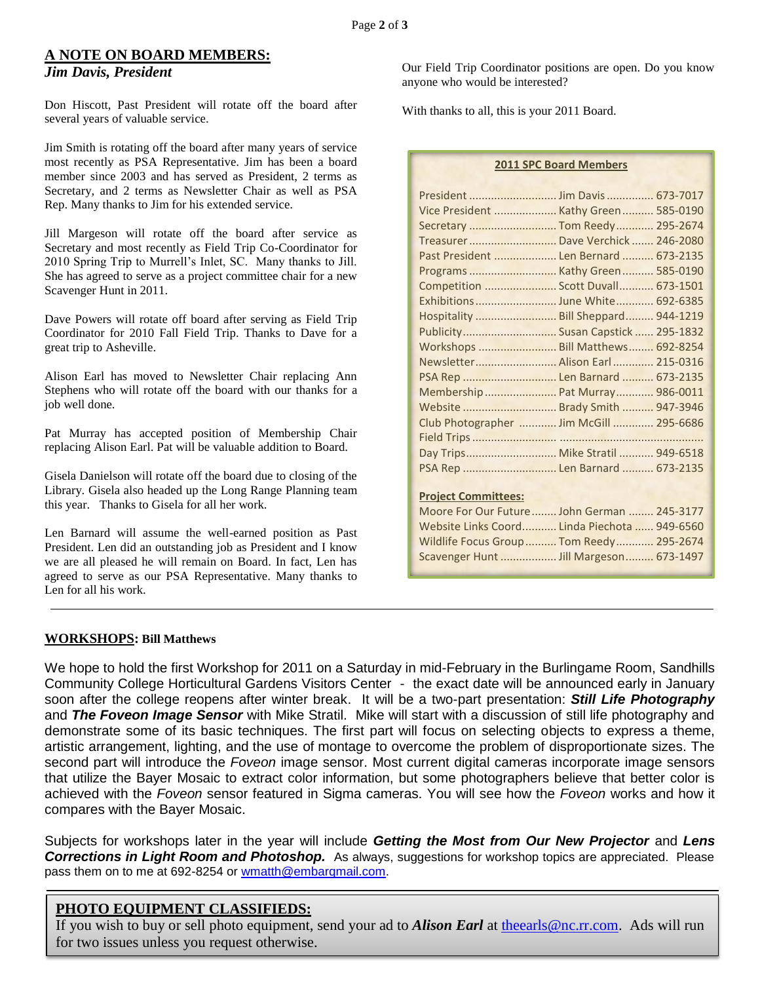#### **A NOTE ON BOARD MEMBERS:**

#### *Jim Davis, President*

Don Hiscott, Past President will rotate off the board after several years of valuable service.

Jim Smith is rotating off the board after many years of service most recently as PSA Representative. Jim has been a board member since 2003 and has served as President, 2 terms as Secretary, and 2 terms as Newsletter Chair as well as PSA Rep. Many thanks to Jim for his extended service.

Jill Margeson will rotate off the board after service as Secretary and most recently as Field Trip Co-Coordinator for 2010 Spring Trip to Murrell's Inlet, SC. Many thanks to Jill. She has agreed to serve as a project committee chair for a new Scavenger Hunt in 2011.

Dave Powers will rotate off board after serving as Field Trip Coordinator for 2010 Fall Field Trip. Thanks to Dave for a great trip to Asheville.

Alison Earl has moved to Newsletter Chair replacing Ann Stephens who will rotate off the board with our thanks for a job well done.

Pat Murray has accepted position of Membership Chair replacing Alison Earl. Pat will be valuable addition to Board.

Gisela Danielson will rotate off the board due to closing of the Library. Gisela also headed up the Long Range Planning team this year. Thanks to Gisela for all her work.

Len Barnard will assume the well-earned position as Past President. Len did an outstanding job as President and I know we are all pleased he will remain on Board. In fact, Len has agreed to serve as our PSA Representative. Many thanks to Len for all his work.

Our Field Trip Coordinator positions are open. Do you know anyone who would be interested?

With thanks to all, this is your 2011 Board.

**2011 SPC Board Members**

| Vice President  Kathy Green  585-0190        |  |
|----------------------------------------------|--|
| Secretary  Tom Reedy  295-2674               |  |
| Treasurer  Dave Verchick  246-2080           |  |
| Past President  Len Bernard  673-2135        |  |
|                                              |  |
| Competition  Scott Duvall 673-1501           |  |
|                                              |  |
| Hospitality  Bill Sheppard 944-1219          |  |
| Publicity Susan Capstick  295-1832           |  |
| Workshops  Bill Matthews 692-8254            |  |
| Newsletter Alison Earl 215-0316              |  |
| PSA Rep  Len Barnard  673-2135               |  |
| Membership Pat Murray 986-0011               |  |
| Website  Brady Smith  947-3946               |  |
| Club Photographer  Jim McGill  295-6686      |  |
|                                              |  |
| Day Trips Mike Stratil  949-6518             |  |
| PSA Rep  Len Barnard  673-2135               |  |
|                                              |  |
| <b>Project Committees:</b>                   |  |
| Moore For Our Future John German  245-3177   |  |
| Website Links Coord Linda Piechota  949-6560 |  |
| Wildlife Focus Group  Tom Reedy  295-2674    |  |
| Scavenger Hunt  Jill Margeson 673-1497       |  |

#### **WORKSHOPS: Bill Matthews**

We hope to hold the first Workshop for 2011 on a Saturday in mid-February in the Burlingame Room, Sandhills Community College Horticultural Gardens Visitors Center - the exact date will be announced early in January soon after the college reopens after winter break. It will be a two-part presentation: *Still Life Photography*  and *The Foveon Image Sensor* with Mike Stratil. Mike will start with a discussion of still life photography and demonstrate some of its basic techniques. The first part will focus on selecting objects to express a theme, artistic arrangement, lighting, and the use of montage to overcome the problem of disproportionate sizes. The second part will introduce the *Foveon* image sensor. Most current digital cameras incorporate image sensors that utilize the Bayer Mosaic to extract color information, but some photographers believe that better color is achieved with the *Foveon* sensor featured in Sigma cameras. You will see how the *Foveon* works and how it compares with the Bayer Mosaic.

Subjects for workshops later in the year will include *Getting the Most from Our New Projector* and *Lens*  **Corrections in Light Room and Photoshop.** As always, suggestions for workshop topics are appreciated. Please pass them on to me at 692-8254 or [wmatth@embarqmail.com.](file:///C:/Users/Alison/AppData/Local/Microsoft/Windows/Temporary%20Internet%20Files/spc2009/ForNewsletter/For%201209/wmatth@embarqmail.com)

#### **PHOTO EQUIPMENT CLASSIFIEDS:**

If you wish to buy or sell photo equipment, send your ad to *Alison Earl* at [theearls@nc.rr.com.](theearls@nc.rr.com) Ads will run for two issues unless you request otherwise.